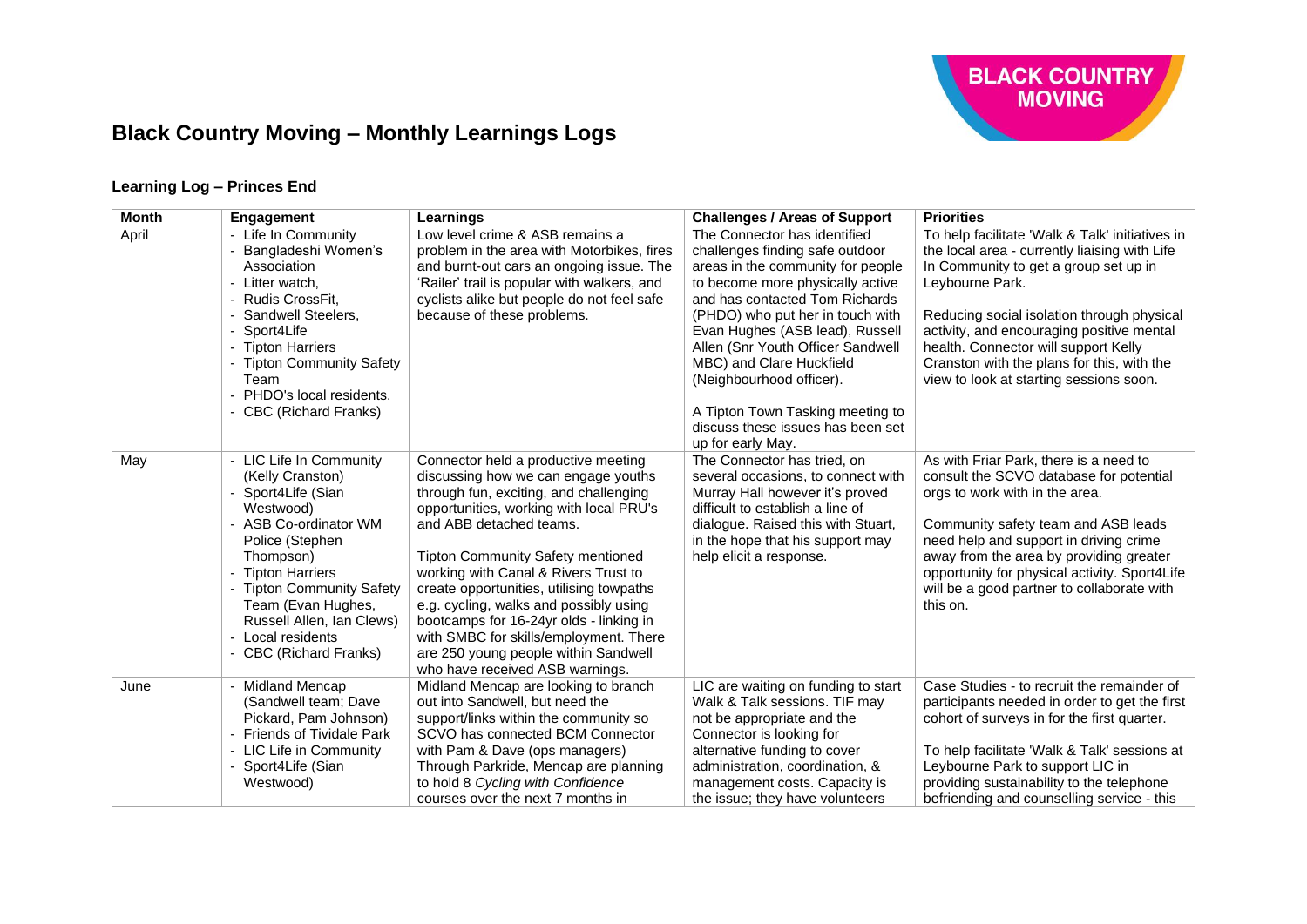

### **Learning Log – Princes End**

| <b>Month</b> | Engagement                                                                                                                                                                                                                                                                                                                          | Learnings                                                                                                                                                                                                                                                                                                                                                                                                                                                                                                                            | <b>Challenges / Areas of Support</b>                                                                                                                                                                                                                                                                                                                                                                                                         | <b>Priorities</b>                                                                                                                                                                                                                                                                                                                                                                        |
|--------------|-------------------------------------------------------------------------------------------------------------------------------------------------------------------------------------------------------------------------------------------------------------------------------------------------------------------------------------|--------------------------------------------------------------------------------------------------------------------------------------------------------------------------------------------------------------------------------------------------------------------------------------------------------------------------------------------------------------------------------------------------------------------------------------------------------------------------------------------------------------------------------------|----------------------------------------------------------------------------------------------------------------------------------------------------------------------------------------------------------------------------------------------------------------------------------------------------------------------------------------------------------------------------------------------------------------------------------------------|------------------------------------------------------------------------------------------------------------------------------------------------------------------------------------------------------------------------------------------------------------------------------------------------------------------------------------------------------------------------------------------|
| April        | Life In Community<br>$\blacksquare$<br>Bangladeshi Women's<br>Association<br>Litter watch.<br>$\blacksquare$<br>Rudis CrossFit,<br>Sandwell Steelers,<br>Sport4Life<br><b>Tipton Harriers</b><br><b>Tipton Community Safety</b><br>Team<br>- PHDO's local residents.<br>- CBC (Richard Franks)                                      | Low level crime & ASB remains a<br>problem in the area with Motorbikes, fires<br>and burnt-out cars an ongoing issue. The<br>'Railer' trail is popular with walkers, and<br>cyclists alike but people do not feel safe<br>because of these problems.                                                                                                                                                                                                                                                                                 | The Connector has identified<br>challenges finding safe outdoor<br>areas in the community for people<br>to become more physically active<br>and has contacted Tom Richards<br>(PHDO) who put her in touch with<br>Evan Hughes (ASB lead), Russell<br>Allen (Snr Youth Officer Sandwell<br>MBC) and Clare Huckfield<br>(Neighbourhood officer).<br>A Tipton Town Tasking meeting to<br>discuss these issues has been set<br>up for early May. | To help facilitate 'Walk & Talk' initiatives in<br>the local area - currently liaising with Life<br>In Community to get a group set up in<br>Leybourne Park.<br>Reducing social isolation through physical<br>activity, and encouraging positive mental<br>health. Connector will support Kelly<br>Cranston with the plans for this, with the<br>view to look at starting sessions soon. |
| May          | LIC Life In Community<br>$\blacksquare$<br>(Kelly Cranston)<br>Sport4Life (Sian<br>Westwood)<br>- ASB Co-ordinator WM<br>Police (Stephen<br>Thompson)<br><b>Tipton Harriers</b><br><b>Tipton Community Safety</b><br>Team (Evan Hughes,<br>Russell Allen, Ian Clews)<br>Local residents<br>$\blacksquare$<br>- CBC (Richard Franks) | Connector held a productive meeting<br>discussing how we can engage youths<br>through fun, exciting, and challenging<br>opportunities, working with local PRU's<br>and ABB detached teams.<br><b>Tipton Community Safety mentioned</b><br>working with Canal & Rivers Trust to<br>create opportunities, utilising towpaths<br>e.g. cycling, walks and possibly using<br>bootcamps for 16-24yr olds - linking in<br>with SMBC for skills/employment. There<br>are 250 young people within Sandwell<br>who have received ASB warnings. | The Connector has tried, on<br>several occasions, to connect with<br>Murray Hall however it's proved<br>difficult to establish a line of<br>dialogue. Raised this with Stuart,<br>in the hope that his support may<br>help elicit a response.                                                                                                                                                                                                | As with Friar Park, there is a need to<br>consult the SCVO database for potential<br>orgs to work with in the area.<br>Community safety team and ASB leads<br>need help and support in driving crime<br>away from the area by providing greater<br>opportunity for physical activity. Sport4Life<br>will be a good partner to collaborate with<br>this on.                               |
| June         | <b>Midland Mencap</b><br>(Sandwell team; Dave<br>Pickard, Pam Johnson)<br>- Friends of Tividale Park<br>- LIC Life in Community<br>Sport4Life (Sian<br>Westwood)                                                                                                                                                                    | Midland Mencap are looking to branch<br>out into Sandwell, but need the<br>support/links within the community so<br>SCVO has connected BCM Connector<br>with Pam & Dave (ops managers)<br>Through Parkride, Mencap are planning<br>to hold 8 Cycling with Confidence<br>courses over the next 7 months in                                                                                                                                                                                                                            | LIC are waiting on funding to start<br>Walk & Talk sessions. TIF may<br>not be appropriate and the<br>Connector is looking for<br>alternative funding to cover<br>administration, coordination, &<br>management costs. Capacity is<br>the issue; they have volunteers                                                                                                                                                                        | Case Studies - to recruit the remainder of<br>participants needed in order to get the first<br>cohort of surveys in for the first quarter.<br>To help facilitate 'Walk & Talk' sessions at<br>Leybourne Park to support LIC in<br>providing sustainability to the telephone<br>befriending and counselling service - this                                                                |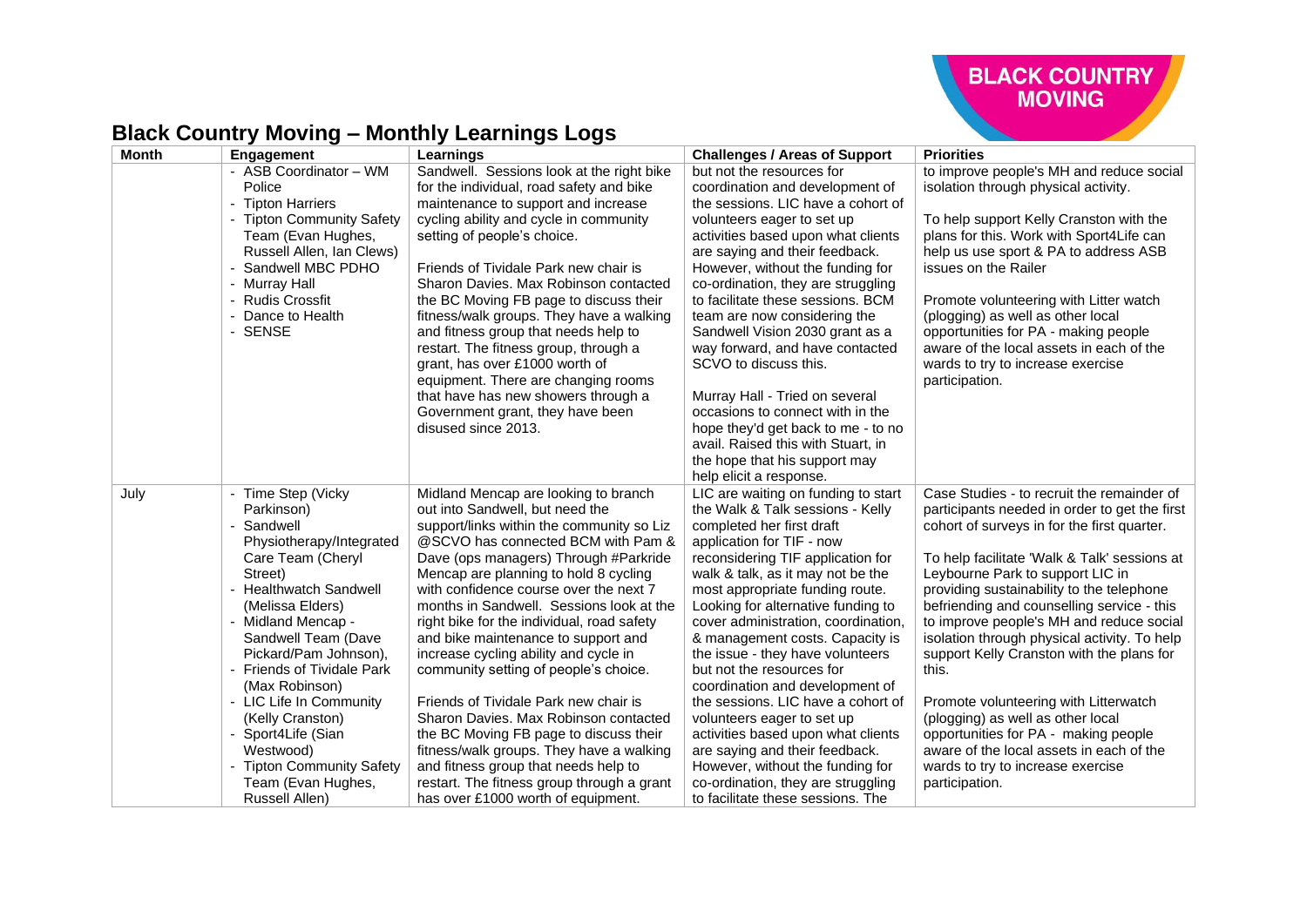

| <b>Month</b> | <b>Engagement</b>                                                                                                                                                      | Learnings                                                                                                                                                                                                                                                                                                                                                                                               | <b>Challenges / Areas of Support</b>                                                                                                                                                                                                                                                                                                             | <b>Priorities</b>                                                                                                                                                                                                                                                                                                                                                              |
|--------------|------------------------------------------------------------------------------------------------------------------------------------------------------------------------|---------------------------------------------------------------------------------------------------------------------------------------------------------------------------------------------------------------------------------------------------------------------------------------------------------------------------------------------------------------------------------------------------------|--------------------------------------------------------------------------------------------------------------------------------------------------------------------------------------------------------------------------------------------------------------------------------------------------------------------------------------------------|--------------------------------------------------------------------------------------------------------------------------------------------------------------------------------------------------------------------------------------------------------------------------------------------------------------------------------------------------------------------------------|
|              | - ASB Coordinator - WM<br>Police<br>- Tipton Harriers                                                                                                                  | Sandwell. Sessions look at the right bike<br>for the individual, road safety and bike<br>maintenance to support and increase                                                                                                                                                                                                                                                                            | but not the resources for<br>coordination and development of<br>the sessions. LIC have a cohort of                                                                                                                                                                                                                                               | to improve people's MH and reduce social<br>isolation through physical activity.                                                                                                                                                                                                                                                                                               |
|              | - Tipton Community Safety<br>Team (Evan Hughes,<br>Russell Allen, Ian Clews)<br>Sandwell MBC PDHO<br>- Murray Hall<br>- Rudis Crossfit<br>- Dance to Health<br>- SENSE | cycling ability and cycle in community<br>setting of people's choice.<br>Friends of Tividale Park new chair is<br>Sharon Davies. Max Robinson contacted<br>the BC Moving FB page to discuss their<br>fitness/walk groups. They have a walking<br>and fitness group that needs help to<br>restart. The fitness group, through a<br>grant, has over £1000 worth of<br>equipment. There are changing rooms | volunteers eager to set up<br>activities based upon what clients<br>are saying and their feedback.<br>However, without the funding for<br>co-ordination, they are struggling<br>to facilitate these sessions. BCM<br>team are now considering the<br>Sandwell Vision 2030 grant as a<br>way forward, and have contacted<br>SCVO to discuss this. | To help support Kelly Cranston with the<br>plans for this. Work with Sport4Life can<br>help us use sport & PA to address ASB<br>issues on the Railer<br>Promote volunteering with Litter watch<br>(plogging) as well as other local<br>opportunities for PA - making people<br>aware of the local assets in each of the<br>wards to try to increase exercise<br>participation. |
|              |                                                                                                                                                                        | that have has new showers through a<br>Government grant, they have been<br>disused since 2013.                                                                                                                                                                                                                                                                                                          | Murray Hall - Tried on several<br>occasions to connect with in the<br>hope they'd get back to me - to no<br>avail. Raised this with Stuart, in<br>the hope that his support may<br>help elicit a response.                                                                                                                                       |                                                                                                                                                                                                                                                                                                                                                                                |
| July         | - Time Step (Vicky<br>Parkinson)<br>Sandwell<br>Physiotherapy/Integrated                                                                                               | Midland Mencap are looking to branch<br>out into Sandwell, but need the<br>support/links within the community so Liz<br>@SCVO has connected BCM with Pam &                                                                                                                                                                                                                                              | LIC are waiting on funding to start<br>the Walk & Talk sessions - Kelly<br>completed her first draft<br>application for TIF - now                                                                                                                                                                                                                | Case Studies - to recruit the remainder of<br>participants needed in order to get the first<br>cohort of surveys in for the first quarter.                                                                                                                                                                                                                                     |
|              | Care Team (Cheryl<br>Street)                                                                                                                                           | Dave (ops managers) Through #Parkride<br>Mencap are planning to hold 8 cycling                                                                                                                                                                                                                                                                                                                          | reconsidering TIF application for<br>walk & talk, as it may not be the                                                                                                                                                                                                                                                                           | To help facilitate 'Walk & Talk' sessions at<br>Leybourne Park to support LIC in                                                                                                                                                                                                                                                                                               |
|              | - Healthwatch Sandwell<br>(Melissa Elders)                                                                                                                             | with confidence course over the next 7<br>months in Sandwell. Sessions look at the                                                                                                                                                                                                                                                                                                                      | most appropriate funding route.<br>Looking for alternative funding to                                                                                                                                                                                                                                                                            | providing sustainability to the telephone<br>befriending and counselling service - this                                                                                                                                                                                                                                                                                        |
|              | - Midland Mencap -<br>Sandwell Team (Dave<br>Pickard/Pam Johnson),<br>- Friends of Tividale Park<br>(Max Robinson)                                                     | right bike for the individual, road safety<br>and bike maintenance to support and<br>increase cycling ability and cycle in<br>community setting of people's choice.                                                                                                                                                                                                                                     | cover administration, coordination,<br>& management costs. Capacity is<br>the issue - they have volunteers<br>but not the resources for<br>coordination and development of                                                                                                                                                                       | to improve people's MH and reduce social<br>isolation through physical activity. To help<br>support Kelly Cranston with the plans for<br>this.                                                                                                                                                                                                                                 |
|              | - LIC Life In Community<br>(Kelly Cranston)                                                                                                                            | Friends of Tividale Park new chair is<br>Sharon Davies. Max Robinson contacted                                                                                                                                                                                                                                                                                                                          | the sessions. LIC have a cohort of<br>volunteers eager to set up                                                                                                                                                                                                                                                                                 | Promote volunteering with Litterwatch<br>(plogging) as well as other local                                                                                                                                                                                                                                                                                                     |
|              | Sport4Life (Sian<br>Westwood)<br>- Tipton Community Safety                                                                                                             | the BC Moving FB page to discuss their<br>fitness/walk groups. They have a walking<br>and fitness group that needs help to                                                                                                                                                                                                                                                                              | activities based upon what clients<br>are saying and their feedback.<br>However, without the funding for                                                                                                                                                                                                                                         | opportunities for PA - making people<br>aware of the local assets in each of the<br>wards to try to increase exercise                                                                                                                                                                                                                                                          |
|              | Team (Evan Hughes,<br>Russell Allen)                                                                                                                                   | restart. The fitness group through a grant<br>has over £1000 worth of equipment.                                                                                                                                                                                                                                                                                                                        | co-ordination, they are struggling<br>to facilitate these sessions. The                                                                                                                                                                                                                                                                          | participation.                                                                                                                                                                                                                                                                                                                                                                 |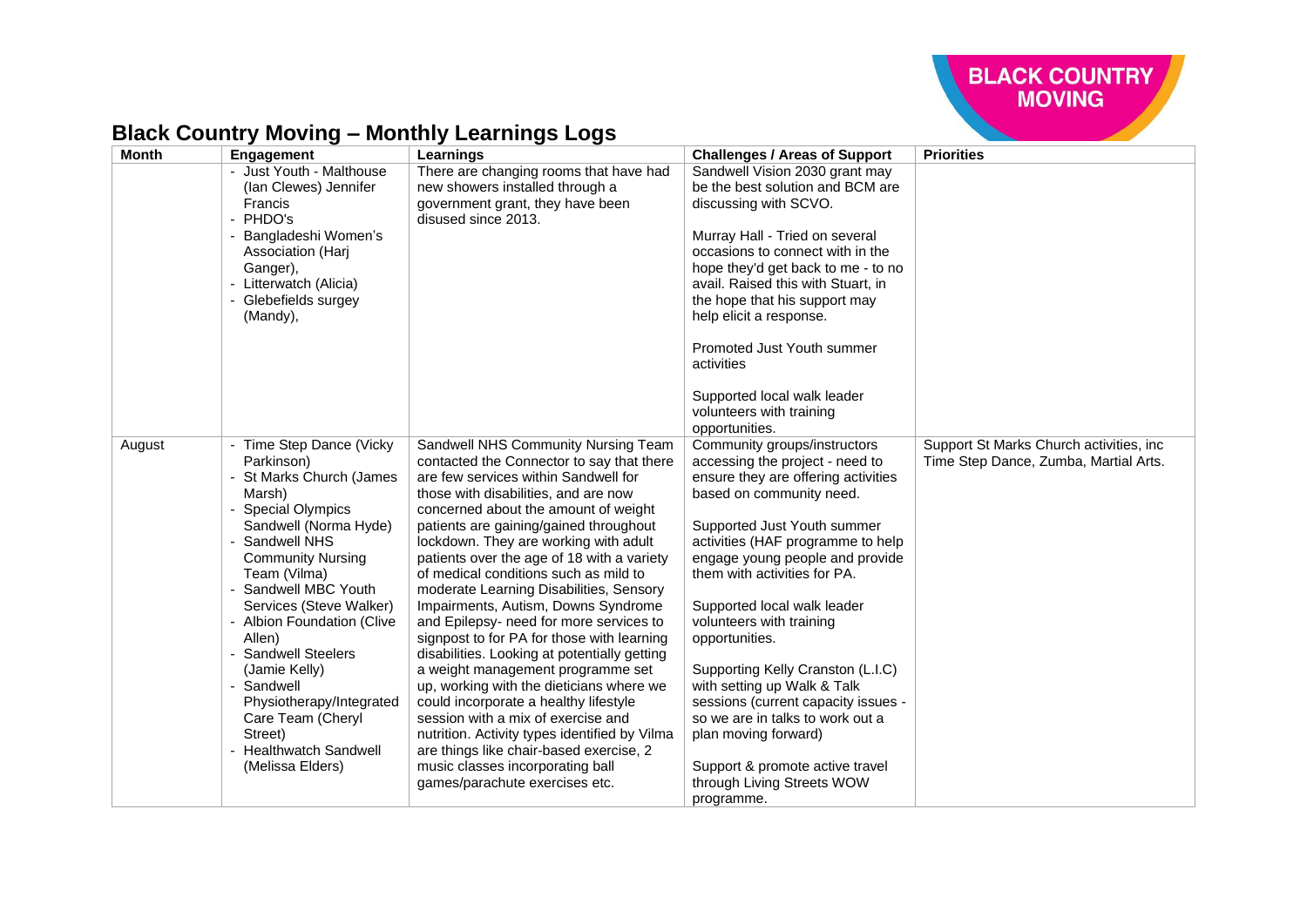

#### **Month Engagement Learnings Challenges / Areas of Support Priorities** - Just Youth - Malthouse (Ian Clewes) Jennifer **Francis** - PHDO's Bangladeshi Women's Association (Harj Ganger). - Litterwatch (Alicia) - Glebefields surgey (Mandy), There are changing rooms that have had new showers installed through a government grant, they have been disused since 2013. Sandwell Vision 2030 grant may be the best solution and BCM are discussing with SCVO. Murray Hall - Tried on several occasions to connect with in the hope they'd get back to me - to no avail. Raised this with Stuart, in the hope that his support may help elicit a response. Promoted Just Youth summer activities Supported local walk leader volunteers with training opportunities. August | - Time Step Dance (Vicky Parkinson) St Marks Church (James Marsh) Special Olympics Sandwell (Norma Hyde) Sandwell NHS Community Nursing Team (Vilma) Sandwell MBC Youth Services (Steve Walker) - Albion Foundation (Clive Allen) Sandwell Steelers (Jamie Kelly) - Sandwell Physiotherapy/Integrated Care Team (Cheryl Street) - Healthwatch Sandwell (Melissa Elders) Sandwell NHS Community Nursing Team contacted the Connector to say that there are few services within Sandwell for those with disabilities, and are now concerned about the amount of weight patients are gaining/gained throughout lockdown. They are working with adult patients over the age of 18 with a variety of medical conditions such as mild to moderate Learning Disabilities, Sensory Impairments, Autism, Downs Syndrome and Epilepsy- need for more services to signpost to for PA for those with learning disabilities. Looking at potentially getting a weight management programme set up, working with the dieticians where we could incorporate a healthy lifestyle session with a mix of exercise and nutrition. Activity types identified by Vilma are things like chair-based exercise, 2 music classes incorporating ball games/parachute exercises etc. Community groups/instructors accessing the project - need to ensure they are offering activities based on community need. Supported Just Youth summer activities (HAF programme to help engage young people and provide them with activities for PA. Supported local walk leader volunteers with training opportunities. Supporting Kelly Cranston (L.I.C) with setting up Walk & Talk sessions (current capacity issues so we are in talks to work out a plan moving forward) Support & promote active travel through Living Streets WOW programme. Support St Marks Church activities, inc Time Step Dance, Zumba, Martial Arts.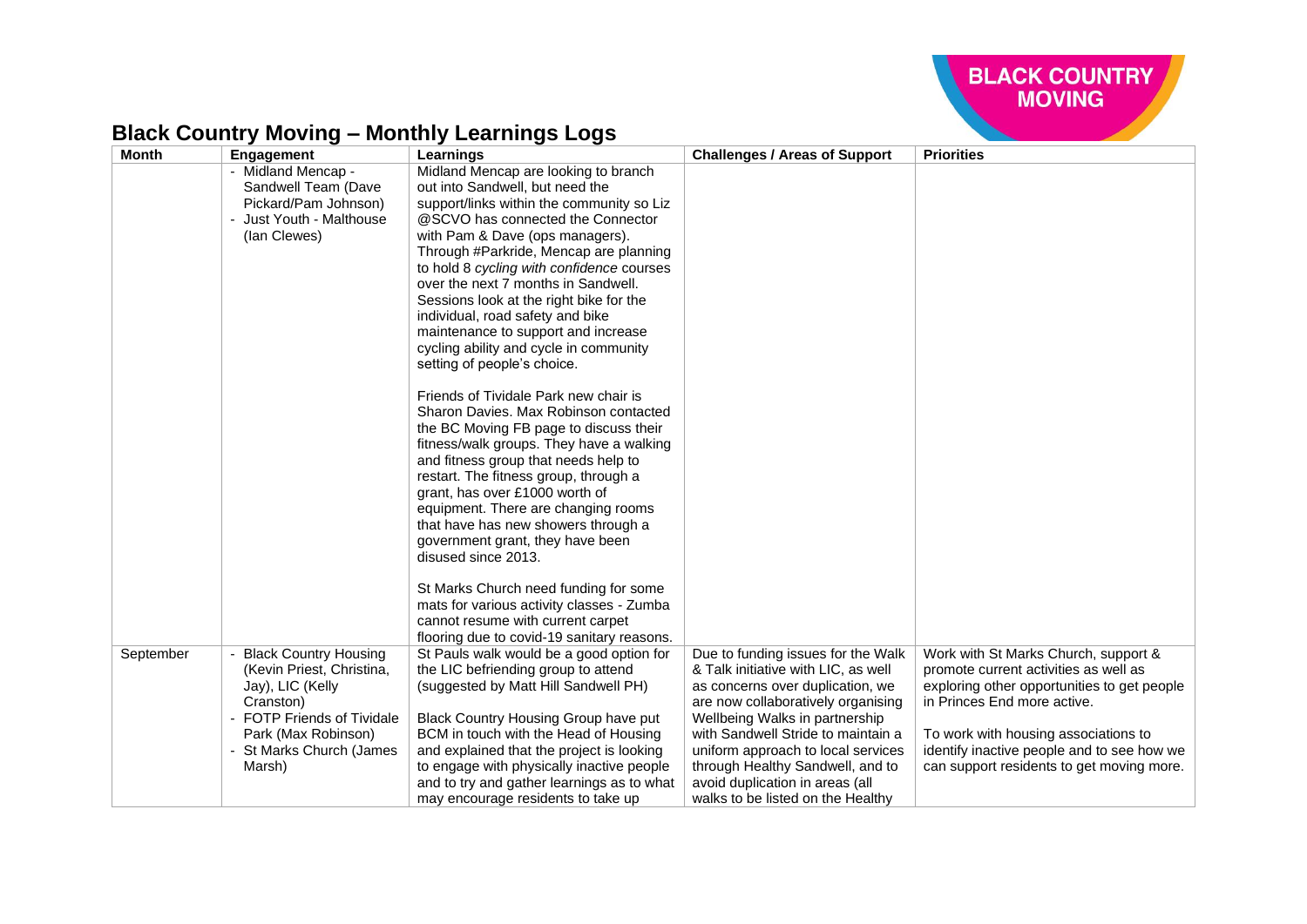

| <b>Month</b> | Engagement                   | Learnings                                  | <b>Challenges / Areas of Support</b> | <b>Priorities</b>                           |
|--------------|------------------------------|--------------------------------------------|--------------------------------------|---------------------------------------------|
|              | - Midland Mencap -           | Midland Mencap are looking to branch       |                                      |                                             |
|              | Sandwell Team (Dave          | out into Sandwell, but need the            |                                      |                                             |
|              | Pickard/Pam Johnson)         | support/links within the community so Liz  |                                      |                                             |
|              | - Just Youth - Malthouse     | @SCVO has connected the Connector          |                                      |                                             |
|              | (lan Clewes)                 | with Pam & Dave (ops managers).            |                                      |                                             |
|              |                              | Through #Parkride, Mencap are planning     |                                      |                                             |
|              |                              | to hold 8 cycling with confidence courses  |                                      |                                             |
|              |                              | over the next 7 months in Sandwell.        |                                      |                                             |
|              |                              | Sessions look at the right bike for the    |                                      |                                             |
|              |                              | individual, road safety and bike           |                                      |                                             |
|              |                              | maintenance to support and increase        |                                      |                                             |
|              |                              | cycling ability and cycle in community     |                                      |                                             |
|              |                              | setting of people's choice.                |                                      |                                             |
|              |                              | Friends of Tividale Park new chair is      |                                      |                                             |
|              |                              | Sharon Davies, Max Robinson contacted      |                                      |                                             |
|              |                              | the BC Moving FB page to discuss their     |                                      |                                             |
|              |                              | fitness/walk groups. They have a walking   |                                      |                                             |
|              |                              | and fitness group that needs help to       |                                      |                                             |
|              |                              | restart. The fitness group, through a      |                                      |                                             |
|              |                              | grant, has over £1000 worth of             |                                      |                                             |
|              |                              | equipment. There are changing rooms        |                                      |                                             |
|              |                              | that have has new showers through a        |                                      |                                             |
|              |                              | government grant, they have been           |                                      |                                             |
|              |                              | disused since 2013.                        |                                      |                                             |
|              |                              | St Marks Church need funding for some      |                                      |                                             |
|              |                              | mats for various activity classes - Zumba  |                                      |                                             |
|              |                              | cannot resume with current carpet          |                                      |                                             |
|              |                              | flooring due to covid-19 sanitary reasons. |                                      |                                             |
| September    | <b>Black Country Housing</b> | St Pauls walk would be a good option for   | Due to funding issues for the Walk   | Work with St Marks Church, support &        |
|              | (Kevin Priest, Christina,    | the LIC befriending group to attend        | & Talk initiative with LIC, as well  | promote current activities as well as       |
|              | Jay), LIC (Kelly             | (suggested by Matt Hill Sandwell PH)       | as concerns over duplication, we     | exploring other opportunities to get people |
|              | Cranston)                    |                                            | are now collaboratively organising   | in Princes End more active.                 |
|              | - FOTP Friends of Tividale   | Black Country Housing Group have put       | Wellbeing Walks in partnership       |                                             |
|              | Park (Max Robinson)          | BCM in touch with the Head of Housing      | with Sandwell Stride to maintain a   | To work with housing associations to        |
|              | - St Marks Church (James     | and explained that the project is looking  | uniform approach to local services   | identify inactive people and to see how we  |
|              | Marsh)                       | to engage with physically inactive people  | through Healthy Sandwell, and to     | can support residents to get moving more.   |
|              |                              | and to try and gather learnings as to what | avoid duplication in areas (all      |                                             |
|              |                              | may encourage residents to take up         | walks to be listed on the Healthy    |                                             |